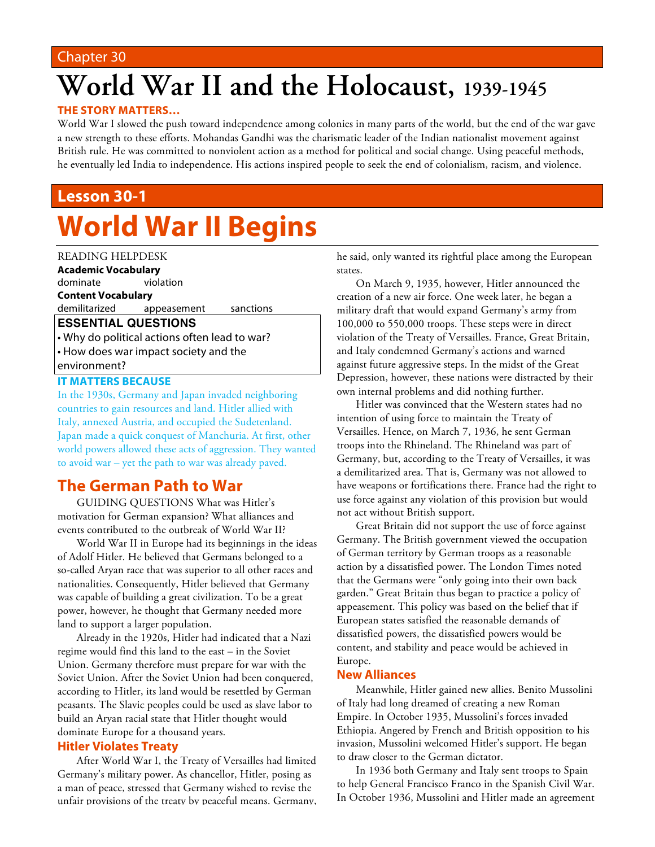### Chapter 30

## **World War II and the Holocaust, 1939-1945**

#### **THE STORY MATTERS…**

World War I slowed the push toward independence among colonies in many parts of the world, but the end of the war gave a new strength to these efforts. Mohandas Gandhi was the charismatic leader of the Indian nationalist movement against British rule. He was committed to nonviolent action as a method for political and social change. Using peaceful methods, he eventually led India to independence. His actions inspired people to seek the end of colonialism, racism, and violence.

## **Lesson 30-1**

# **World War II Begins**

#### READING HELPDESK

**Academic Vocabulary** dominate violation **Content Vocabulary** demilitarized appeasement sanctions

## **ESSENTIAL QUESTIONS**

• Why do political actions often lead to war? • How does war impact society and the environment?

#### **IT MATTERS BECAUSE**

In the 1930s, Germany and Japan invaded neighboring countries to gain resources and land. Hitler allied with Italy, annexed Austria, and occupied the Sudetenland. Japan made a quick conquest of Manchuria. At first, other world powers allowed these acts of aggression. They wanted to avoid war – yet the path to war was already paved.

## **The German Path to War**

GUIDING QUESTIONS What was Hitler's motivation for German expansion? What alliances and events contributed to the outbreak of World War II?

World War II in Europe had its beginnings in the ideas of Adolf Hitler. He believed that Germans belonged to a so-called Aryan race that was superior to all other races and nationalities. Consequently, Hitler believed that Germany was capable of building a great civilization. To be a great power, however, he thought that Germany needed more land to support a larger population.

Already in the 1920s, Hitler had indicated that a Nazi regime would find this land to the east – in the Soviet Union. Germany therefore must prepare for war with the Soviet Union. After the Soviet Union had been conquered, according to Hitler, its land would be resettled by German peasants. The Slavic peoples could be used as slave labor to build an Aryan racial state that Hitler thought would dominate Europe for a thousand years.

#### **Hitler Violates Treaty**

After World War I, the Treaty of Versailles had limited Germany's military power. As chancellor, Hitler, posing as a man of peace, stressed that Germany wished to revise the unfair provisions of the treaty by peaceful means. Germany, he said, only wanted its rightful place among the European states.

On March 9, 1935, however, Hitler announced the creation of a new air force. One week later, he began a military draft that would expand Germany's army from 100,000 to 550,000 troops. These steps were in direct violation of the Treaty of Versailles. France, Great Britain, and Italy condemned Germany's actions and warned against future aggressive steps. In the midst of the Great Depression, however, these nations were distracted by their own internal problems and did nothing further.

Hitler was convinced that the Western states had no intention of using force to maintain the Treaty of Versailles. Hence, on March 7, 1936, he sent German troops into the Rhineland. The Rhineland was part of Germany, but, according to the Treaty of Versailles, it was a demilitarized area. That is, Germany was not allowed to have weapons or fortifications there. France had the right to use force against any violation of this provision but would not act without British support.

Great Britain did not support the use of force against Germany. The British government viewed the occupation of German territory by German troops as a reasonable action by a dissatisfied power. The London Times noted that the Germans were "only going into their own back garden." Great Britain thus began to practice a policy of appeasement. This policy was based on the belief that if European states satisfied the reasonable demands of dissatisfied powers, the dissatisfied powers would be content, and stability and peace would be achieved in Europe.

#### **New Alliances**

Meanwhile, Hitler gained new allies. Benito Mussolini of Italy had long dreamed of creating a new Roman Empire. In October 1935, Mussolini's forces invaded Ethiopia. Angered by French and British opposition to his invasion, Mussolini welcomed Hitler's support. He began to draw closer to the German dictator.

In 1936 both Germany and Italy sent troops to Spain to help General Francisco Franco in the Spanish Civil War. In October 1936, Mussolini and Hitler made an agreement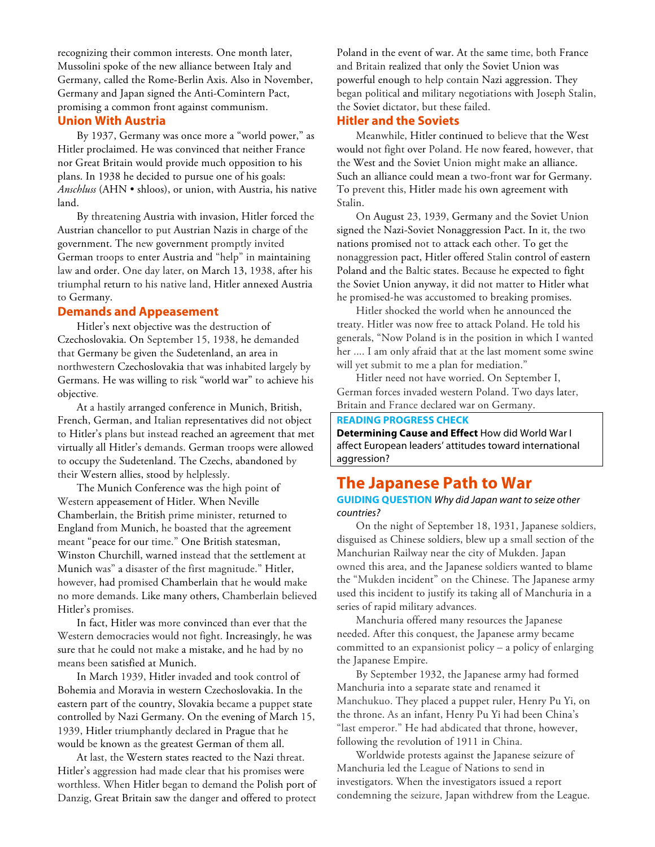recognizing their common interests. One month later, Mussolini spoke of the new alliance between Italy and Germany, called the Rome-Berlin Axis. Also in November, Germany and Japan signed the Anti-Comintern Pact, promising a common front against communism.

#### **Union With Austria**

By 1937, Germany was once more a "world power," as Hitler proclaimed. He was convinced that neither France nor Great Britain would provide much opposition to his plans. In 1938 he decided to pursue one of his goals: *Anschluss* (AHN • shloos), or union, with Austria, his native land.

By threatening Austria with invasion, Hitler forced the Austrian chancellor to put Austrian Nazis in charge of the government. The new government promptly invited German troops to enter Austria and "help" in maintaining law and order. One day later, on March 13, 1938, after his triumphal return to his native land, Hitler annexed Austria to Germany.

#### **Demands and Appeasement**

Hitler's next objective was the destruction of Czechoslovakia. On September 15, 1938, he demanded that Germany be given the Sudetenland, an area in northwestern Czechoslovakia that was inhabited largely by Germans. He was willing to risk "world war" to achieve his objective.

At a hastily arranged conference in Munich, British, French, German, and Italian representatives did not object to Hitler's plans but instead reached an agreement that met virtually all Hitler's demands. German troops were allowed to occupy the Sudetenland. The Czechs, abandoned by their Western allies, stood by helplessly.

The Munich Conference was the high point of Western appeasement of Hitler. When Neville Chamberlain, the British prime minister, returned to England from Munich, he boasted that the agreement meant "peace for our time." One British statesman, Winston Churchill, warned instead that the settlement at Munich was" a disaster of the first magnitude." Hitler, however, had promised Chamberlain that he would make no more demands. Like many others, Chamberlain believed Hitler's promises.

In fact, Hitler was more convinced than ever that the Western democracies would not fight. Increasingly, he was sure that he could not make a mistake, and he had by no means been satisfied at Munich.

In March 1939, Hitler invaded and took control of Bohemia and Moravia in western Czechoslovakia. In the eastern part of the country, Slovakia became a puppet state controlled by Nazi Germany. On the evening of March 15, 1939, Hitler triumphantly declared in Prague that he would be known as the greatest German of them all.

At last, the Western states reacted to the Nazi threat. Hitler's aggression had made clear that his promises were worthless. When Hitler began to demand the Polish port of Danzig, Great Britain saw the danger and offered to protect

Poland in the event of war. At the same time, both France and Britain realized that only the Soviet Union was powerful enough to help contain Nazi aggression. They began political and military negotiations with Joseph Stalin, the Soviet dictator, but these failed.

#### **Hitler and the Soviets**

Meanwhile, Hitler continued to believe that the West would not fight over Poland. He now feared, however, that the West and the Soviet Union might make an alliance. Such an alliance could mean a two-front war for Germany. To prevent this, Hitler made his own agreement with Stalin.

On August 23, 1939, Germany and the Soviet Union signed the Nazi-Soviet Nonaggression Pact. In it, the two nations promised not to attack each other. To get the nonaggression pact, Hitler offered Stalin control of eastern Poland and the Baltic states. Because he expected to fight the Soviet Union anyway, it did not matter to Hitler what he promised-he was accustomed to breaking promises.

Hitler shocked the world when he announced the treaty. Hitler was now free to attack Poland. He told his generals, "Now Poland is in the position in which I wanted her .... I am only afraid that at the last moment some swine will yet submit to me a plan for mediation."

Hitler need not have worried. On September I, German forces invaded western Poland. Two days later, Britain and France declared war on Germany.

#### **READING PROGRESS CHECK**

**Determining Cause and Effect** How did World War I affect European leaders' attitudes toward international aggression?

## **The Japanese Path to War**

#### **GUIDING QUESTION** *Why did Japan want to seize other countries?*

On the night of September 18, 1931, Japanese soldiers, disguised as Chinese soldiers, blew up a small section of the Manchurian Railway near the city of Mukden. Japan owned this area, and the Japanese soldiers wanted to blame the "Mukden incident" on the Chinese. The Japanese army used this incident to justify its taking all of Manchuria in a series of rapid military advances.

Manchuria offered many resources the Japanese needed. After this conquest, the Japanese army became committed to an expansionist policy – a policy of enlarging the Japanese Empire.

By September 1932, the Japanese army had formed Manchuria into a separate state and renamed it Manchukuo. They placed a puppet ruler, Henry Pu Yi, on the throne. As an infant, Henry Pu Yi had been China's "last emperor." He had abdicated that throne, however, following the revolution of 1911 in China.

Worldwide protests against the Japanese seizure of Manchuria led the League of Nations to send in investigators. When the investigators issued a report condemning the seizure, Japan withdrew from the League.